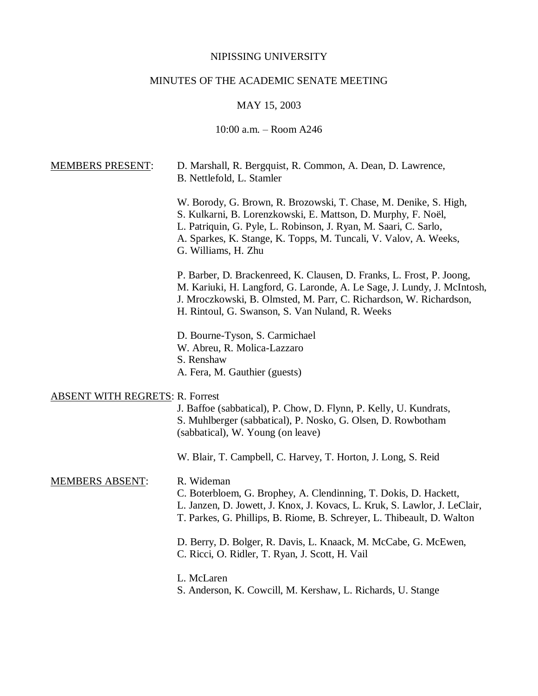## NIPISSING UNIVERSITY

# MINUTES OF THE ACADEMIC SENATE MEETING

## MAY 15, 2003

## 10:00 a.m. – Room A246

| <b>MEMBERS PRESENT:</b>                | D. Marshall, R. Bergquist, R. Common, A. Dean, D. Lawrence,<br>B. Nettlefold, L. Stamler                                                                                                                                                                                                         |
|----------------------------------------|--------------------------------------------------------------------------------------------------------------------------------------------------------------------------------------------------------------------------------------------------------------------------------------------------|
|                                        | W. Borody, G. Brown, R. Brozowski, T. Chase, M. Denike, S. High,<br>S. Kulkarni, B. Lorenzkowski, E. Mattson, D. Murphy, F. Noël,<br>L. Patriquin, G. Pyle, L. Robinson, J. Ryan, M. Saari, C. Sarlo,<br>A. Sparkes, K. Stange, K. Topps, M. Tuncali, V. Valov, A. Weeks,<br>G. Williams, H. Zhu |
|                                        | P. Barber, D. Brackenreed, K. Clausen, D. Franks, L. Frost, P. Joong,<br>M. Kariuki, H. Langford, G. Laronde, A. Le Sage, J. Lundy, J. McIntosh,<br>J. Mroczkowski, B. Olmsted, M. Parr, C. Richardson, W. Richardson,<br>H. Rintoul, G. Swanson, S. Van Nuland, R. Weeks                        |
|                                        | D. Bourne-Tyson, S. Carmichael                                                                                                                                                                                                                                                                   |
|                                        | W. Abreu, R. Molica-Lazzaro<br>S. Renshaw                                                                                                                                                                                                                                                        |
|                                        | A. Fera, M. Gauthier (guests)                                                                                                                                                                                                                                                                    |
| <b>ABSENT WITH REGRETS: R. Forrest</b> | J. Baffoe (sabbatical), P. Chow, D. Flynn, P. Kelly, U. Kundrats,<br>S. Muhlberger (sabbatical), P. Nosko, G. Olsen, D. Rowbotham<br>(sabbatical), W. Young (on leave)                                                                                                                           |
|                                        | W. Blair, T. Campbell, C. Harvey, T. Horton, J. Long, S. Reid                                                                                                                                                                                                                                    |
| <b>MEMBERS ABSENT:</b>                 | R. Wideman<br>C. Boterbloem, G. Brophey, A. Clendinning, T. Dokis, D. Hackett,<br>L. Janzen, D. Jowett, J. Knox, J. Kovacs, L. Kruk, S. Lawlor, J. LeClair,<br>T. Parkes, G. Phillips, B. Riome, B. Schreyer, L. Thibeault, D. Walton                                                            |
|                                        | D. Berry, D. Bolger, R. Davis, L. Knaack, M. McCabe, G. McEwen,<br>C. Ricci, O. Ridler, T. Ryan, J. Scott, H. Vail                                                                                                                                                                               |
|                                        | L. McLaren<br>S. Anderson, K. Cowcill, M. Kershaw, L. Richards, U. Stange                                                                                                                                                                                                                        |
|                                        |                                                                                                                                                                                                                                                                                                  |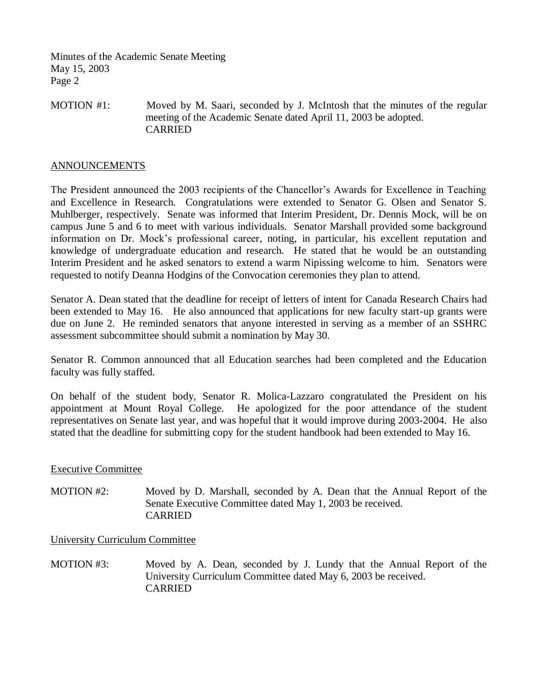MOTION #1: Moved by M. Saari, seconded by J. McIntosh that the minutes of the regular meeting of the Academic Senate dated April 11, 2003 be adopted. CARRIED

#### ANNOUNCEMENTS

The President announced the 2003 recipients of the Chancellor's Awards for Excellence in Teaching and Excellence in Research. Congratulations were extended to Senator G. Olsen and Senator S. Muhlberger, respectively. Senate was informed that Interim President, Dr. Dennis Mock, will be on campus June 5 and 6 to meet with various individuals. Senator Marshall provided some background information on Dr. Mock's professional career, noting, in particular, his excellent reputation and knowledge of undergraduate education and research. He stated that he would be an outstanding Interim President and he asked senators to extend a warm Nipissing welcome to him. Senators were requested to notify Deanna Hodgins of the Convocation ceremonies they plan to attend.

Senator A. Dean stated that the deadline for receipt of letters of intent for Canada Research Chairs had been extended to May 16. He also announced that applications for new faculty start-up grants were due on June 2. He reminded senators that anyone interested in serving as a member of an SSHRC assessment subcommittee should submit a nomination by May 30.

Senator R. Common announced that all Education searches had been completed and the Education faculty was fully staffed.

On behalf of the student body, Senator R. Molica-Lazzaro congratulated the President on his appointment at Mount Royal College. He apologized for the poor attendance of the student representatives on Senate last year, and was hopeful that it would improve during 2003-2004. He also stated that the deadline for submitting copy for the student handbook had been extended to May 16.

#### Executive Committee

MOTION #2: Moved by D. Marshall, seconded by A. Dean that the Annual Report of the Senate Executive Committee dated May 1, 2003 be received. CARRIED

University Curriculum Committee

MOTION #3: Moved by A. Dean, seconded by J. Lundy that the Annual Report of the University Curriculum Committee dated May 6, 2003 be received. CARRIED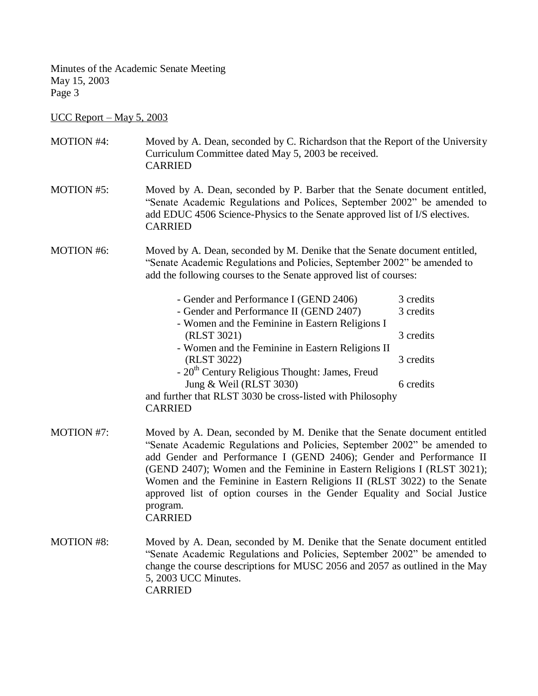UCC Report – May 5, 2003

| <b>MOTION #4:</b> | Moved by A. Dean, seconded by C. Richardson that the Report of the University<br>Curriculum Committee dated May 5, 2003 be received.<br><b>CARRIED</b>                                                                                                                                                                                                                                                                                                                                         |                        |  |
|-------------------|------------------------------------------------------------------------------------------------------------------------------------------------------------------------------------------------------------------------------------------------------------------------------------------------------------------------------------------------------------------------------------------------------------------------------------------------------------------------------------------------|------------------------|--|
| <b>MOTION #5:</b> | Moved by A. Dean, seconded by P. Barber that the Senate document entitled,<br>"Senate Academic Regulations and Polices, September 2002" be amended to<br>add EDUC 4506 Science-Physics to the Senate approved list of I/S electives.<br><b>CARRIED</b>                                                                                                                                                                                                                                         |                        |  |
| <b>MOTION #6:</b> | Moved by A. Dean, seconded by M. Denike that the Senate document entitled,<br>"Senate Academic Regulations and Policies, September 2002" be amended to<br>add the following courses to the Senate approved list of courses:                                                                                                                                                                                                                                                                    |                        |  |
|                   | - Gender and Performance I (GEND 2406)<br>- Gender and Performance II (GEND 2407)<br>- Women and the Feminine in Eastern Religions I                                                                                                                                                                                                                                                                                                                                                           | 3 credits<br>3 credits |  |
|                   | (RLST 3021)<br>- Women and the Feminine in Eastern Religions II                                                                                                                                                                                                                                                                                                                                                                                                                                | 3 credits              |  |
|                   | (RLST 3022)<br>- 20 <sup>th</sup> Century Religious Thought: James, Freud                                                                                                                                                                                                                                                                                                                                                                                                                      | 3 credits              |  |
|                   | Jung & Weil (RLST 3030)                                                                                                                                                                                                                                                                                                                                                                                                                                                                        | 6 credits              |  |
|                   | and further that RLST 3030 be cross-listed with Philosophy<br><b>CARRIED</b>                                                                                                                                                                                                                                                                                                                                                                                                                   |                        |  |
| <b>MOTION #7:</b> | Moved by A. Dean, seconded by M. Denike that the Senate document entitled<br>"Senate Academic Regulations and Policies, September 2002" be amended to<br>add Gender and Performance I (GEND 2406); Gender and Performance II<br>(GEND 2407); Women and the Feminine in Eastern Religions I (RLST 3021);<br>Women and the Feminine in Eastern Religions II (RLST 3022) to the Senate<br>approved list of option courses in the Gender Equality and Social Justice<br>program.<br><b>CARRIED</b> |                        |  |
| <b>MOTION #8:</b> | Moved by A. Dean, seconded by M. Denike that the Senate document entitled<br>"Senate Academic Regulations and Policies, September 2002" be amended to<br>change the course descriptions for MUSC 2056 and 2057 as outlined in the May<br>5, 2003 UCC Minutes.<br><b>CARRIED</b>                                                                                                                                                                                                                |                        |  |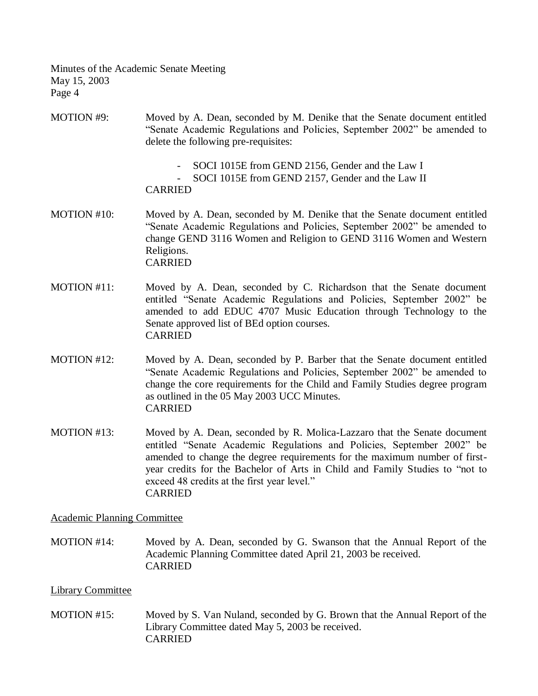- MOTION #9: Moved by A. Dean, seconded by M. Denike that the Senate document entitled "Senate Academic Regulations and Policies, September 2002" be amended to delete the following pre-requisites:
	- SOCI 1015E from GEND 2156, Gender and the Law I
	- SOCI 1015E from GEND 2157, Gender and the Law II

#### CARRIED

- MOTION #10: Moved by A. Dean, seconded by M. Denike that the Senate document entitled "Senate Academic Regulations and Policies, September 2002" be amended to change GEND 3116 Women and Religion to GEND 3116 Women and Western Religions. CARRIED
- MOTION #11: Moved by A. Dean, seconded by C. Richardson that the Senate document entitled "Senate Academic Regulations and Policies, September 2002" be amended to add EDUC 4707 Music Education through Technology to the Senate approved list of BEd option courses. CARRIED
- MOTION #12: Moved by A. Dean, seconded by P. Barber that the Senate document entitled "Senate Academic Regulations and Policies, September 2002" be amended to change the core requirements for the Child and Family Studies degree program as outlined in the 05 May 2003 UCC Minutes. CARRIED
- MOTION #13: Moved by A. Dean, seconded by R. Molica-Lazzaro that the Senate document entitled "Senate Academic Regulations and Policies, September 2002" be amended to change the degree requirements for the maximum number of firstyear credits for the Bachelor of Arts in Child and Family Studies to "not to exceed 48 credits at the first year level." CARRIED

## Academic Planning Committee

MOTION #14: Moved by A. Dean, seconded by G. Swanson that the Annual Report of the Academic Planning Committee dated April 21, 2003 be received. CARRIED

## Library Committee

MOTION #15: Moved by S. Van Nuland, seconded by G. Brown that the Annual Report of the Library Committee dated May 5, 2003 be received. CARRIED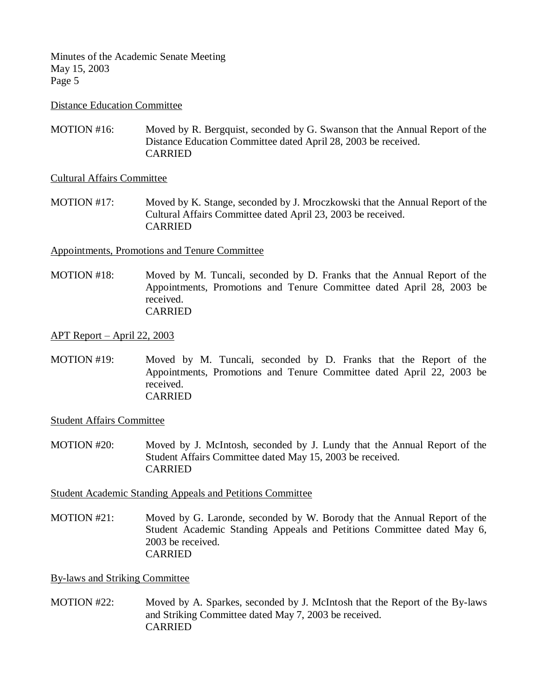#### Distance Education Committee

MOTION #16: Moved by R. Bergquist, seconded by G. Swanson that the Annual Report of the Distance Education Committee dated April 28, 2003 be received. CARRIED

Cultural Affairs Committee

MOTION #17: Moved by K. Stange, seconded by J. Mroczkowski that the Annual Report of the Cultural Affairs Committee dated April 23, 2003 be received. CARRIED

Appointments, Promotions and Tenure Committee

MOTION #18: Moved by M. Tuncali, seconded by D. Franks that the Annual Report of the Appointments, Promotions and Tenure Committee dated April 28, 2003 be received. CARRIED

APT Report – April 22, 2003

MOTION #19: Moved by M. Tuncali, seconded by D. Franks that the Report of the Appointments, Promotions and Tenure Committee dated April 22, 2003 be received. CARRIED

Student Affairs Committee

MOTION #20: Moved by J. McIntosh, seconded by J. Lundy that the Annual Report of the Student Affairs Committee dated May 15, 2003 be received. CARRIED

Student Academic Standing Appeals and Petitions Committee

MOTION #21: Moved by G. Laronde, seconded by W. Borody that the Annual Report of the Student Academic Standing Appeals and Petitions Committee dated May 6, 2003 be received. CARRIED

By-laws and Striking Committee

MOTION #22: Moved by A. Sparkes, seconded by J. McIntosh that the Report of the By-laws and Striking Committee dated May 7, 2003 be received. CARRIED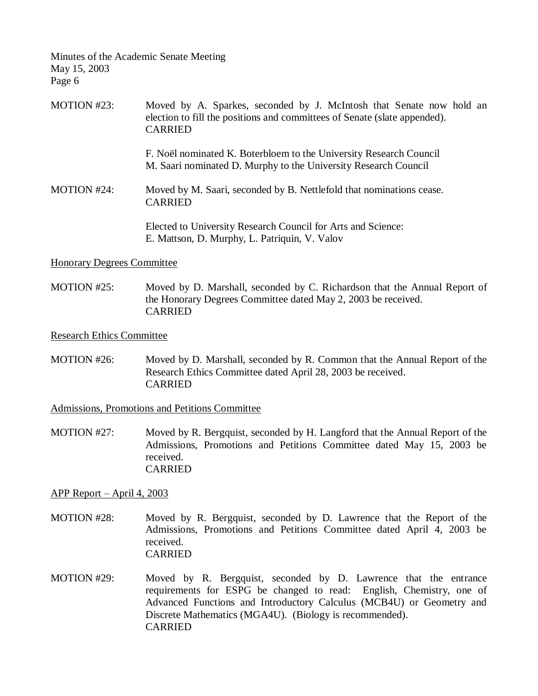| MOTION #23: | Moved by A. Sparkes, seconded by J. McIntosh that Senate now hold an<br>election to fill the positions and committees of Senate (slate appended).<br><b>CARRIED</b> |
|-------------|---------------------------------------------------------------------------------------------------------------------------------------------------------------------|
|             | F. Noël nominated K. Boterbloem to the University Research Council<br>M. Saari nominated D. Murphy to the University Research Council                               |
| MOTION #24: | Moved by M. Saari, seconded by B. Nettlefold that nominations cease.<br><b>CARRIED</b>                                                                              |
|             | Elected to University Research Council for Arts and Science:<br>E. Mattson, D. Murphy, L. Patriquin, V. Valov                                                       |

## Honorary Degrees Committee

MOTION #25: Moved by D. Marshall, seconded by C. Richardson that the Annual Report of the Honorary Degrees Committee dated May 2, 2003 be received. CARRIED

#### Research Ethics Committee

MOTION #26: Moved by D. Marshall, seconded by R. Common that the Annual Report of the Research Ethics Committee dated April 28, 2003 be received. CARRIED

Admissions, Promotions and Petitions Committee

MOTION #27: Moved by R. Bergquist, seconded by H. Langford that the Annual Report of the Admissions, Promotions and Petitions Committee dated May 15, 2003 be received. CARRIED

## APP Report – April 4, 2003

- MOTION #28: Moved by R. Bergquist, seconded by D. Lawrence that the Report of the Admissions, Promotions and Petitions Committee dated April 4, 2003 be received. CARRIED
- MOTION #29: Moved by R. Bergquist, seconded by D. Lawrence that the entrance requirements for ESPG be changed to read: English, Chemistry, one of Advanced Functions and Introductory Calculus (MCB4U) or Geometry and Discrete Mathematics (MGA4U). (Biology is recommended). CARRIED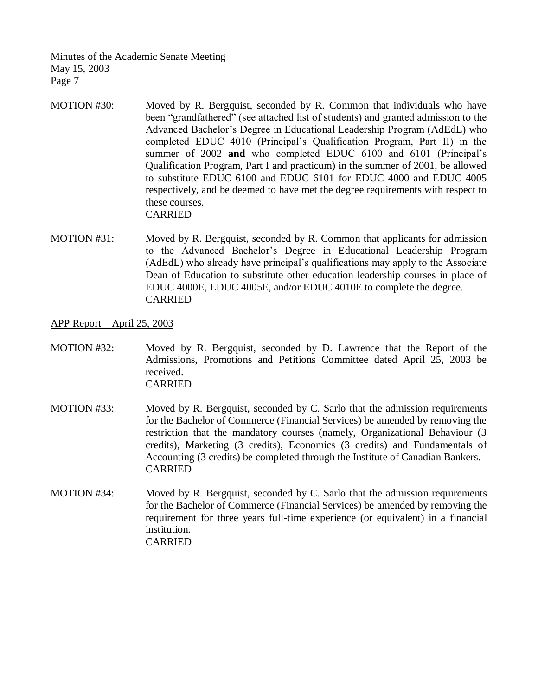- MOTION #30: Moved by R. Bergquist, seconded by R. Common that individuals who have been "grandfathered" (see attached list of students) and granted admission to the Advanced Bachelor's Degree in Educational Leadership Program (AdEdL) who completed EDUC 4010 (Principal's Qualification Program, Part II) in the summer of 2002 **and** who completed EDUC 6100 and 6101 (Principal's Qualification Program, Part I and practicum) in the summer of 2001, be allowed to substitute EDUC 6100 and EDUC 6101 for EDUC 4000 and EDUC 4005 respectively, and be deemed to have met the degree requirements with respect to these courses. CARRIED
- MOTION #31: Moved by R. Bergquist, seconded by R. Common that applicants for admission to the Advanced Bachelor's Degree in Educational Leadership Program (AdEdL) who already have principal's qualifications may apply to the Associate Dean of Education to substitute other education leadership courses in place of EDUC 4000E, EDUC 4005E, and/or EDUC 4010E to complete the degree. CARRIED

APP Report – April 25, 2003

- MOTION #32: Moved by R. Bergquist, seconded by D. Lawrence that the Report of the Admissions, Promotions and Petitions Committee dated April 25, 2003 be received. CARRIED
- MOTION #33: Moved by R. Bergquist, seconded by C. Sarlo that the admission requirements for the Bachelor of Commerce (Financial Services) be amended by removing the restriction that the mandatory courses (namely, Organizational Behaviour (3 credits), Marketing (3 credits), Economics (3 credits) and Fundamentals of Accounting (3 credits) be completed through the Institute of Canadian Bankers. CARRIED
- MOTION #34: Moved by R. Bergquist, seconded by C. Sarlo that the admission requirements for the Bachelor of Commerce (Financial Services) be amended by removing the requirement for three years full-time experience (or equivalent) in a financial institution. CARRIED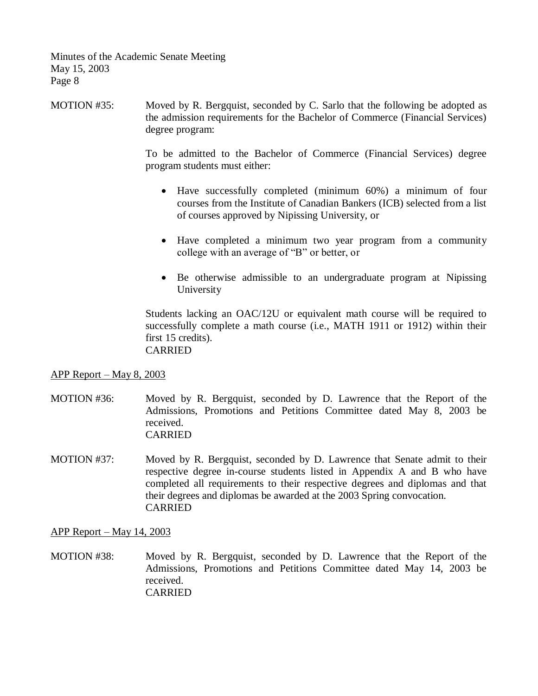MOTION #35: Moved by R. Bergquist, seconded by C. Sarlo that the following be adopted as the admission requirements for the Bachelor of Commerce (Financial Services) degree program:

> To be admitted to the Bachelor of Commerce (Financial Services) degree program students must either:

- Have successfully completed (minimum 60%) a minimum of four courses from the Institute of Canadian Bankers (ICB) selected from a list of courses approved by Nipissing University, or
- Have completed a minimum two year program from a community college with an average of "B" or better, or
- Be otherwise admissible to an undergraduate program at Nipissing University

Students lacking an OAC/12U or equivalent math course will be required to successfully complete a math course (i.e., MATH 1911 or 1912) within their first 15 credits). CARRIED

## APP Report – May 8, 2003

- MOTION #36: Moved by R. Bergquist, seconded by D. Lawrence that the Report of the Admissions, Promotions and Petitions Committee dated May 8, 2003 be received. CARRIED
- MOTION #37: Moved by R. Bergquist, seconded by D. Lawrence that Senate admit to their respective degree in-course students listed in Appendix A and B who have completed all requirements to their respective degrees and diplomas and that their degrees and diplomas be awarded at the 2003 Spring convocation. CARRIED

APP Report – May 14, 2003

MOTION #38: Moved by R. Bergquist, seconded by D. Lawrence that the Report of the Admissions, Promotions and Petitions Committee dated May 14, 2003 be received. CARRIED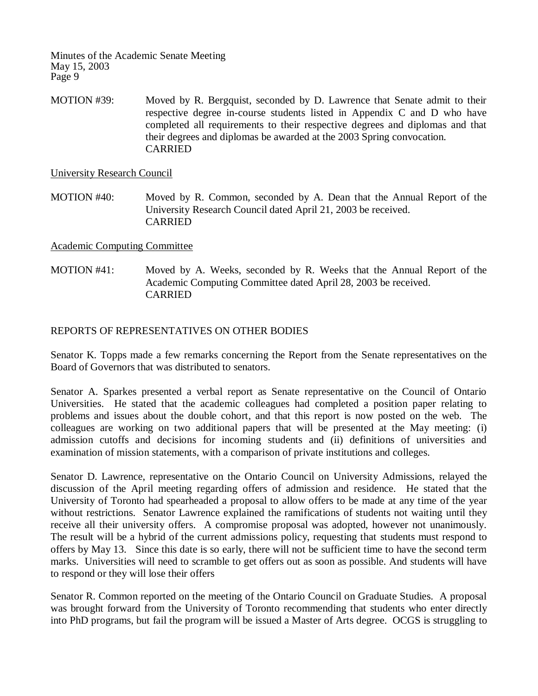MOTION #39: Moved by R. Bergquist, seconded by D. Lawrence that Senate admit to their respective degree in-course students listed in Appendix C and D who have completed all requirements to their respective degrees and diplomas and that their degrees and diplomas be awarded at the 2003 Spring convocation. CARRIED

University Research Council

MOTION #40: Moved by R. Common, seconded by A. Dean that the Annual Report of the University Research Council dated April 21, 2003 be received. CARRIED

## Academic Computing Committee

MOTION #41: Moved by A. Weeks, seconded by R. Weeks that the Annual Report of the Academic Computing Committee dated April 28, 2003 be received. CARRIED

## REPORTS OF REPRESENTATIVES ON OTHER BODIES

Senator K. Topps made a few remarks concerning the Report from the Senate representatives on the Board of Governors that was distributed to senators.

Senator A. Sparkes presented a verbal report as Senate representative on the Council of Ontario Universities. He stated that the academic colleagues had completed a position paper relating to problems and issues about the double cohort, and that this report is now posted on the web. The colleagues are working on two additional papers that will be presented at the May meeting: (i) admission cutoffs and decisions for incoming students and (ii) definitions of universities and examination of mission statements, with a comparison of private institutions and colleges.

Senator D. Lawrence, representative on the Ontario Council on University Admissions, relayed the discussion of the April meeting regarding offers of admission and residence. He stated that the University of Toronto had spearheaded a proposal to allow offers to be made at any time of the year without restrictions. Senator Lawrence explained the ramifications of students not waiting until they receive all their university offers. A compromise proposal was adopted, however not unanimously. The result will be a hybrid of the current admissions policy, requesting that students must respond to offers by May 13. Since this date is so early, there will not be sufficient time to have the second term marks. Universities will need to scramble to get offers out as soon as possible. And students will have to respond or they will lose their offers

Senator R. Common reported on the meeting of the Ontario Council on Graduate Studies. A proposal was brought forward from the University of Toronto recommending that students who enter directly into PhD programs, but fail the program will be issued a Master of Arts degree. OCGS is struggling to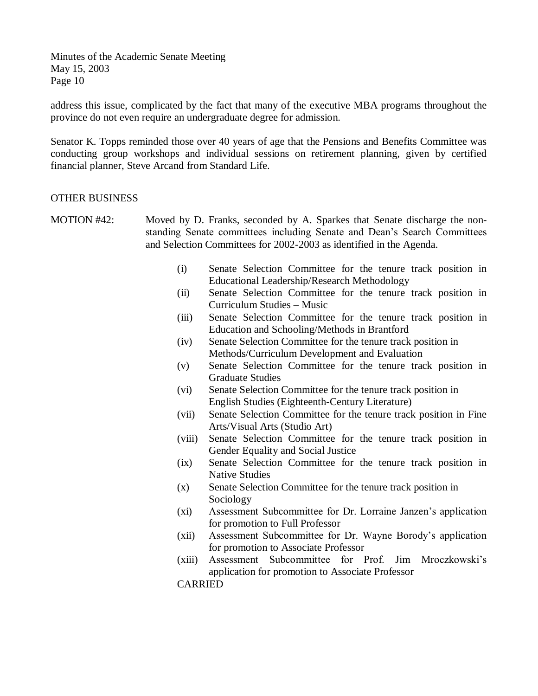address this issue, complicated by the fact that many of the executive MBA programs throughout the province do not even require an undergraduate degree for admission.

Senator K. Topps reminded those over 40 years of age that the Pensions and Benefits Committee was conducting group workshops and individual sessions on retirement planning, given by certified financial planner, Steve Arcand from Standard Life.

## OTHER BUSINESS

- MOTION #42: Moved by D. Franks, seconded by A. Sparkes that Senate discharge the nonstanding Senate committees including Senate and Dean's Search Committees and Selection Committees for 2002-2003 as identified in the Agenda.
	- (i) Senate Selection Committee for the tenure track position in Educational Leadership/Research Methodology
	- (ii) Senate Selection Committee for the tenure track position in Curriculum Studies – Music
	- (iii) Senate Selection Committee for the tenure track position in Education and Schooling/Methods in Brantford
	- (iv) Senate Selection Committee for the tenure track position in Methods/Curriculum Development and Evaluation
	- (v) Senate Selection Committee for the tenure track position in Graduate Studies
	- (vi) Senate Selection Committee for the tenure track position in English Studies (Eighteenth-Century Literature)
	- (vii) Senate Selection Committee for the tenure track position in Fine Arts/Visual Arts (Studio Art)
	- (viii) Senate Selection Committee for the tenure track position in Gender Equality and Social Justice
	- (ix) Senate Selection Committee for the tenure track position in Native Studies
	- (x) Senate Selection Committee for the tenure track position in Sociology
	- (xi) Assessment Subcommittee for Dr. Lorraine Janzen's application for promotion to Full Professor
	- (xii) Assessment Subcommittee for Dr. Wayne Borody's application for promotion to Associate Professor
	- (xiii) Assessment Subcommittee for Prof. Jim Mroczkowski's application for promotion to Associate Professor

CARRIED